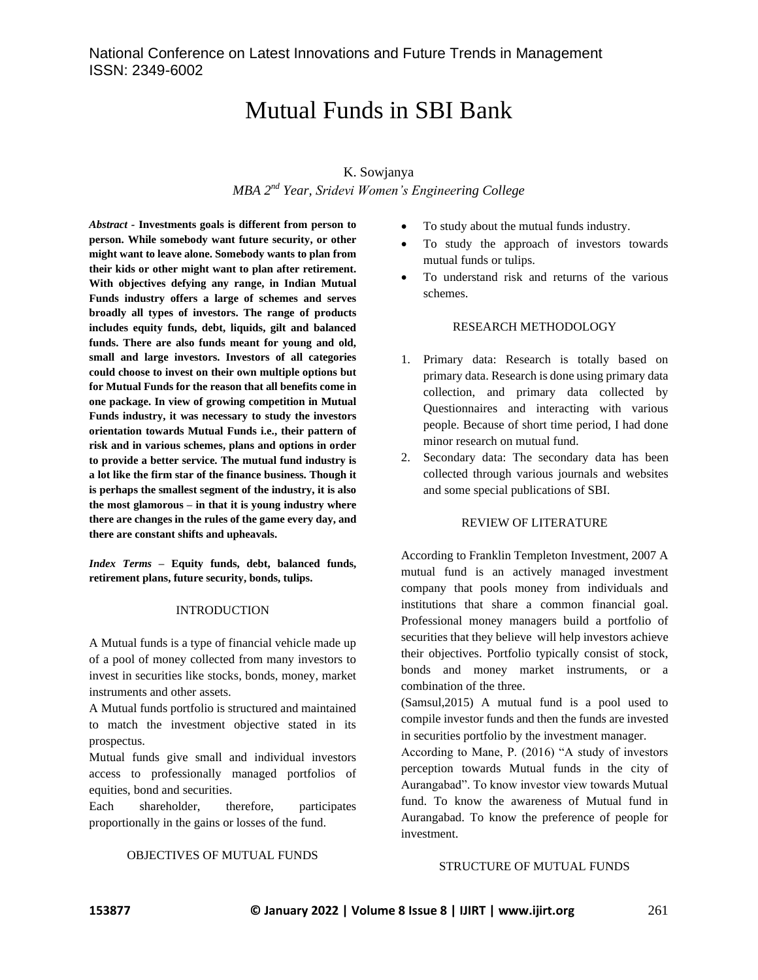# Mutual Funds in SBI Bank

# K. Sowjanya *MBA 2nd Year, Sridevi Women's Engineering College*

*Abstract -* **Investments goals is different from person to person. While somebody want future security, or other might want to leave alone. Somebody wants to plan from their kids or other might want to plan after retirement. With objectives defying any range, in Indian Mutual Funds industry offers a large of schemes and serves broadly all types of investors. The range of products includes equity funds, debt, liquids, gilt and balanced funds. There are also funds meant for young and old, small and large investors. Investors of all categories could choose to invest on their own multiple options but for Mutual Funds for the reason that all benefits come in one package. In view of growing competition in Mutual Funds industry, it was necessary to study the investors orientation towards Mutual Funds i.e., their pattern of risk and in various schemes, plans and options in order to provide a better service. The mutual fund industry is a lot like the firm star of the finance business. Though it is perhaps the smallest segment of the industry, it is also the most glamorous – in that it is young industry where there are changes in the rules of the game every day, and there are constant shifts and upheavals.**

*Index Terms –* **Equity funds, debt, balanced funds, retirement plans, future security, bonds, tulips.** 

## INTRODUCTION

A Mutual funds is a type of financial vehicle made up of a pool of money collected from many investors to invest in securities like stocks, bonds, money, market instruments and other assets.

A Mutual funds portfolio is structured and maintained to match the investment objective stated in its prospectus.

Mutual funds give small and individual investors access to professionally managed portfolios of equities, bond and securities.

Each shareholder, therefore, participates proportionally in the gains or losses of the fund.

#### OBJECTIVES OF MUTUAL FUNDS

- To study about the mutual funds industry.
- To study the approach of investors towards mutual funds or tulips.
- To understand risk and returns of the various schemes.

## RESEARCH METHODOLOGY

- 1. Primary data: Research is totally based on primary data. Research is done using primary data collection, and primary data collected by Questionnaires and interacting with various people. Because of short time period, I had done minor research on mutual fund.
- 2. Secondary data: The secondary data has been collected through various journals and websites and some special publications of SBI.

#### REVIEW OF LITERATURE

According to Franklin Templeton Investment, 2007 A mutual fund is an actively managed investment company that pools money from individuals and institutions that share a common financial goal. Professional money managers build a portfolio of securities that they believe will help investors achieve their objectives. Portfolio typically consist of stock, bonds and money market instruments, or a combination of the three.

(Samsul,2015) A mutual fund is a pool used to compile investor funds and then the funds are invested in securities portfolio by the investment manager.

According to Mane, P. (2016) "A study of investors perception towards Mutual funds in the city of Aurangabad". To know investor view towards Mutual fund. To know the awareness of Mutual fund in Aurangabad. To know the preference of people for investment.

## STRUCTURE OF MUTUAL FUNDS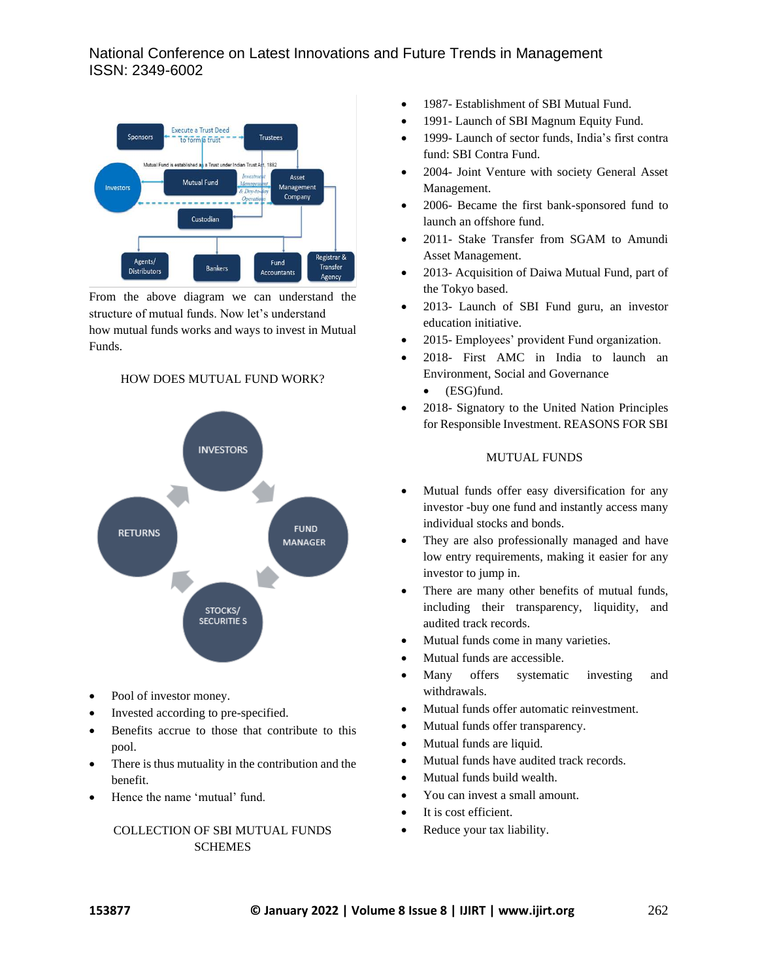# National Conference on Latest Innovations and Future Trends in Management ISSN: 2349-6002



From the above diagram we can understand the structure of mutual funds. Now let's understand how mutual funds works and ways to invest in Mutual Funds.



HOW DOES MUTUAL FUND WORK?

- Pool of investor money.
- Invested according to pre-specified.
- Benefits accrue to those that contribute to this pool.
- There is thus mutuality in the contribution and the benefit.
- Hence the name 'mutual' fund.

# COLLECTION OF SBI MUTUAL FUNDS **SCHEMES**

- 1987- Establishment of SBI Mutual Fund.
- 1991- Launch of SBI Magnum Equity Fund.
- 1999- Launch of sector funds, India's first contra fund: SBI Contra Fund.
- 2004- Joint Venture with society General Asset Management.
- 2006- Became the first bank-sponsored fund to launch an offshore fund.
- 2011- Stake Transfer from SGAM to Amundi Asset Management.
- 2013- Acquisition of Daiwa Mutual Fund, part of the Tokyo based.
- 2013- Launch of SBI Fund guru, an investor education initiative.
- 2015- Employees' provident Fund organization.
- 2018- First AMC in India to launch an Environment, Social and Governance
	- (ESG)fund.
- 2018- Signatory to the United Nation Principles for Responsible Investment. REASONS FOR SBI

## MUTUAL FUNDS

- Mutual funds offer easy diversification for any investor -buy one fund and instantly access many individual stocks and bonds.
- They are also professionally managed and have low entry requirements, making it easier for any investor to jump in.
- There are many other benefits of mutual funds, including their transparency, liquidity, and audited track records.
- Mutual funds come in many varieties.
- Mutual funds are accessible.
- Many offers systematic investing and withdrawals.
- Mutual funds offer automatic reinvestment.
- Mutual funds offer transparency.
- Mutual funds are liquid.
- Mutual funds have audited track records.
- Mutual funds build wealth.
- You can invest a small amount.
- It is cost efficient.
- Reduce your tax liability.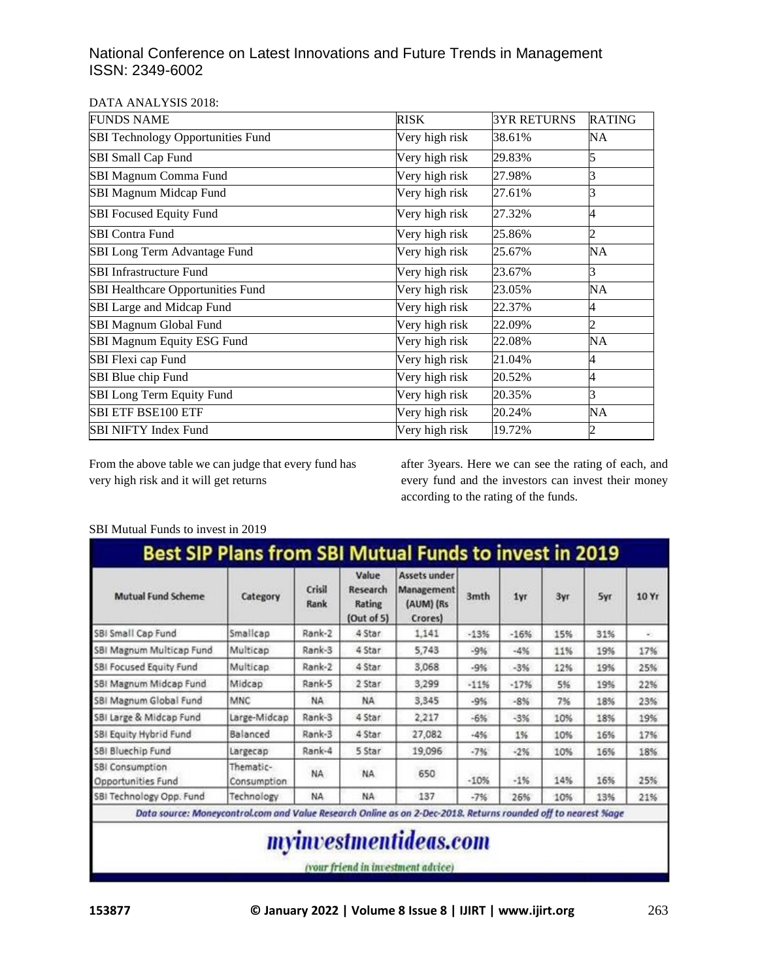# National Conference on Latest Innovations and Future Trends in Management ISSN: 2349-6002

## DATA ANALYSIS 2018:

| <b>FUNDS NAME</b>                        | <b>RISK</b>    | <b>3YR RETURNS</b> | <b>RATING</b> |
|------------------------------------------|----------------|--------------------|---------------|
| <b>SBI Technology Opportunities Fund</b> | Very high risk | 38.61%             | NA            |
| SBI Small Cap Fund                       | Very high risk | 29.83%             |               |
| SBI Magnum Comma Fund                    | Very high risk | 27.98%             |               |
| <b>SBI Magnum Midcap Fund</b>            | Very high risk | 27.61%             |               |
| <b>SBI Focused Equity Fund</b>           | Very high risk | 27.32%             | 4             |
| <b>SBI Contra Fund</b>                   | Very high risk | 25.86%             |               |
| SBI Long Term Advantage Fund             | Very high risk | 25.67%             | NA            |
| <b>SBI</b> Infrastructure Fund           | Very high risk | 23.67%             | 3             |
| SBI Healthcare Opportunities Fund        | Very high risk | 23.05%             | NA            |
| SBI Large and Midcap Fund                | Very high risk | 22.37%             |               |
| SBI Magnum Global Fund                   | Very high risk | 22.09%             |               |
| <b>SBI Magnum Equity ESG Fund</b>        | Very high risk | 22.08%             | NA            |
| SBI Flexi cap Fund                       | Very high risk | 21.04%             |               |
| SBI Blue chip Fund                       | Very high risk | 20.52%             | 4             |
| SBI Long Term Equity Fund                | Very high risk | 20.35%             | 3             |
| SBI ETF BSE100 ETF                       | Very high risk | 20.24%             | NA            |
| <b>SBI NIFTY Index Fund</b>              | Very high risk | 19.72%             |               |

From the above table we can judge that every fund has very high risk and it will get returns

after 3years. Here we can see the rating of each, and every fund and the investors can invest their money according to the rating of the funds.

# SBI Mutual Funds to invest in 2019

| <b>Mutual Fund Scheme</b>                                                                                     | Category                 | Crisil<br>Rank | Value<br>Research<br>Rating<br>(Out of 5) | Assets under<br><b>Management</b><br>(AUM) (Rs<br>Crores) | 3mth   | 1yr    | <b>3yr</b> | <b>Syr</b> | 10 Yr  |
|---------------------------------------------------------------------------------------------------------------|--------------------------|----------------|-------------------------------------------|-----------------------------------------------------------|--------|--------|------------|------------|--------|
| SBI Small Cap Fund                                                                                            | Smallcap                 | Rank-2         | 4 Star                                    | 1,141                                                     | $-13%$ | $-16%$ | 15%        | 31%        | $\sim$ |
| SBI Magnum Multicap Fund                                                                                      | Multicap                 | Rank-3         | 4 Star                                    | 5,743                                                     | $-9%$  | $-4%$  | 11%        | 19%        | 17%    |
| SBI Focused Equity Fund                                                                                       | Multicap                 | Rank-2         | 4 Star                                    | 3,068                                                     | $-9%$  | $-3%$  | 12%        | 19%        | 25%    |
| SBI Magnum Midcap Fund                                                                                        | Midcap                   | Rank-5         | 2 Star                                    | 3,299                                                     | $-11%$ | $-17%$ | 5%         | 19%        | 22%    |
| SBI Magnum Global Fund                                                                                        | MNC                      | NA.            | NA.                                       | 3,345                                                     | $-9%$  | $-8%$  | 7%         | 18%        | 23%    |
| SBI Large & Midcap Fund                                                                                       | Large-Midcap             | Rank-3         | 4 Star                                    | 2,217                                                     | $-6%$  | $-3%$  | 10%        | 18%        | 19%    |
| SBI Equity Hybrid Fund                                                                                        | Balanced                 | Rank-3         | 4 Star                                    | 27,082                                                    | $-4%$  | 1%     | 10%        | 16%        | 17%    |
| SBI Bluechip Fund                                                                                             | Largecap                 | Rank-4         | 5 Star                                    | 19,096                                                    | $-7%$  | $-2%$  | 10%        | 16%        | 18%    |
| SBI Consumption<br>Opportunities Fund                                                                         | Thematic-<br>Consumption | <b>NA</b>      | <b>NA</b>                                 | 650                                                       | $-10%$ | $-1%$  | 14%        | 16%        | 25%    |
| SBI Technology Opp. Fund                                                                                      | Technology               | NA.            | NA                                        | 137                                                       | $-7%$  | 26%    | 10%        | 13%        | 21%    |
| Data source: Moneycontrol.com and Value Research Online as on 2-Dec-2018. Returns rounded off to nearest %age |                          |                |                                           |                                                           |        |        |            |            |        |

(your friend in investment advice)